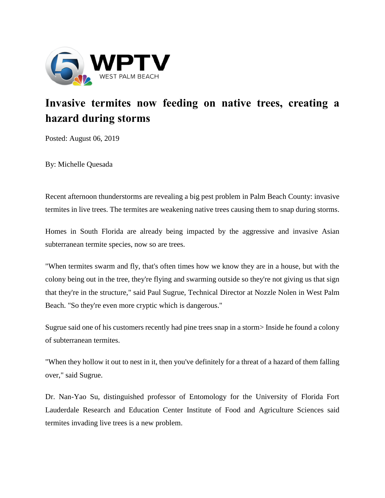

## **Invasive termites now feeding on native trees, creating a hazard during storms**

Posted: August 06, 2019

By: Michelle Quesada

Recent afternoon thunderstorms are revealing a big pest problem in Palm Beach County: invasive termites in live trees. The termites are weakening native trees causing them to snap during storms.

Homes in South Florida are already being impacted by the aggressive and invasive Asian subterranean termite species, now so are trees.

"When termites swarm and fly, that's often times how we know they are in a house, but with the colony being out in the tree, they're flying and swarming outside so they're not giving us that sign that they're in the structure," said Paul Sugrue, Technical Director at Nozzle Nolen in West Palm Beach. "So they're even more cryptic which is dangerous."

Sugrue said one of his customers recently had pine trees snap in a storm> Inside he found a colony of subterranean termites.

"When they hollow it out to nest in it, then you've definitely for a threat of a hazard of them falling over," said Sugrue.

Dr. Nan-Yao Su, distinguished professor of Entomology for the University of Florida Fort Lauderdale Research and Education Center Institute of Food and Agriculture Sciences said termites invading live trees is a new problem.